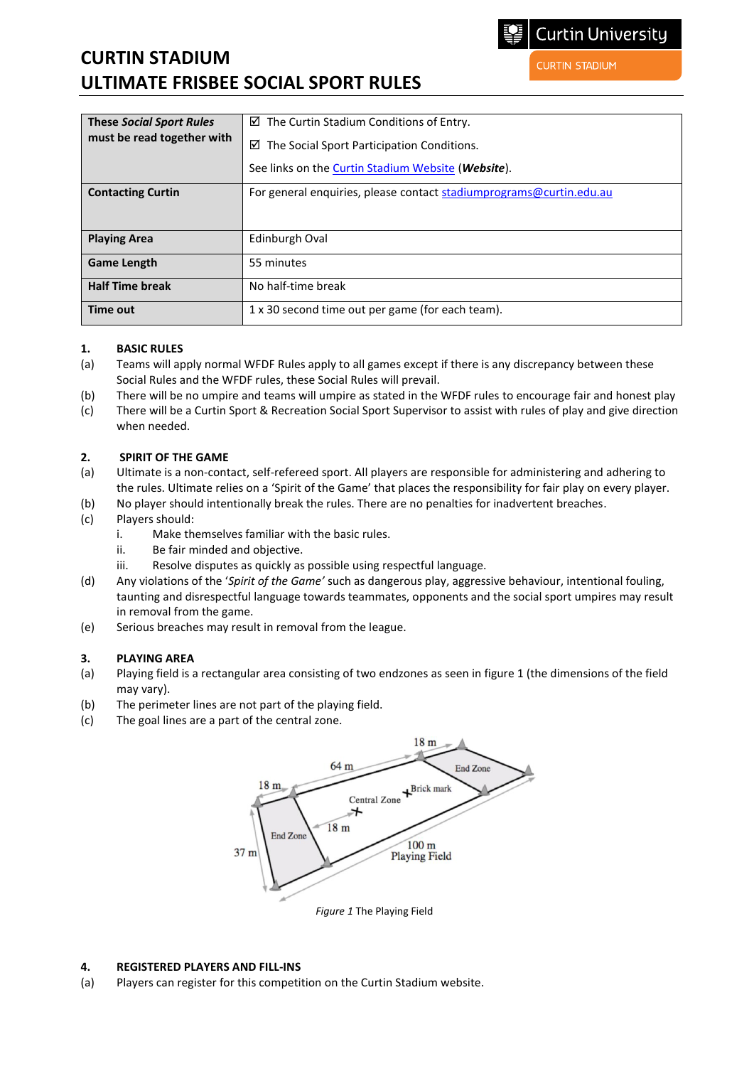# **CURTIN STADIUM ULTIMATE FRISBEE SOCIAL SPORT RULES**

| <b>These Social Sport Rules</b><br>must be read together with | $\boxtimes$ The Curtin Stadium Conditions of Entry.<br>The Social Sport Participation Conditions.<br>☑<br>See links on the <b>Curtin Stadium Website</b> ( <i>Website</i> ). |
|---------------------------------------------------------------|------------------------------------------------------------------------------------------------------------------------------------------------------------------------------|
| <b>Contacting Curtin</b>                                      | For general enquiries, please contact stadiumprograms@curtin.edu.au                                                                                                          |
| <b>Playing Area</b>                                           | Edinburgh Oval                                                                                                                                                               |
| <b>Game Length</b>                                            | 55 minutes                                                                                                                                                                   |
| <b>Half Time break</b>                                        | No half-time break                                                                                                                                                           |
| Time out                                                      | 1 x 30 second time out per game (for each team).                                                                                                                             |

### **1. BASIC RULES**

- (a) Teams will apply normal WFDF Rules apply to all games except if there is any discrepancy between these Social Rules and the WFDF rules, these Social Rules will prevail.
- (b) There will be no umpire and teams will umpire as stated in the WFDF rules to encourage fair and honest play
- (c) There will be a Curtin Sport & Recreation Social Sport Supervisor to assist with rules of play and give direction when needed.

### **2. SPIRIT OF THE GAME**

- (a) Ultimate is a non-contact, self-refereed sport. All players are responsible for administering and adhering to the rules. Ultimate relies on a 'Spirit of the Game' that places the responsibility for fair play on every player.
- (b) No player should intentionally break the rules. There are no penalties for inadvertent breaches.
- (c) Players should:
	- i. Make themselves familiar with the basic rules.
	- ii. Be fair minded and objective.
	- iii. Resolve disputes as quickly as possible using respectful language.
- (d) Any violations of the '*Spirit of the Game'* such as dangerous play, aggressive behaviour, intentional fouling, taunting and disrespectful language towards teammates, opponents and the social sport umpires may result in removal from the game.
- (e) Serious breaches may result in removal from the league.

### **3. PLAYING AREA**

- (a) Playing field is a rectangular area consisting of two endzones as seen in figure 1 (the dimensions of the field may vary).
- (b) The perimeter lines are not part of the playing field.
- (c) The goal lines are a part of the central zone.



#### **4. REGISTERED PLAYERS AND FILL-INS**

(a) Players can register for this competition on the Curtin Stadium website.

**CURTIN STADIUM**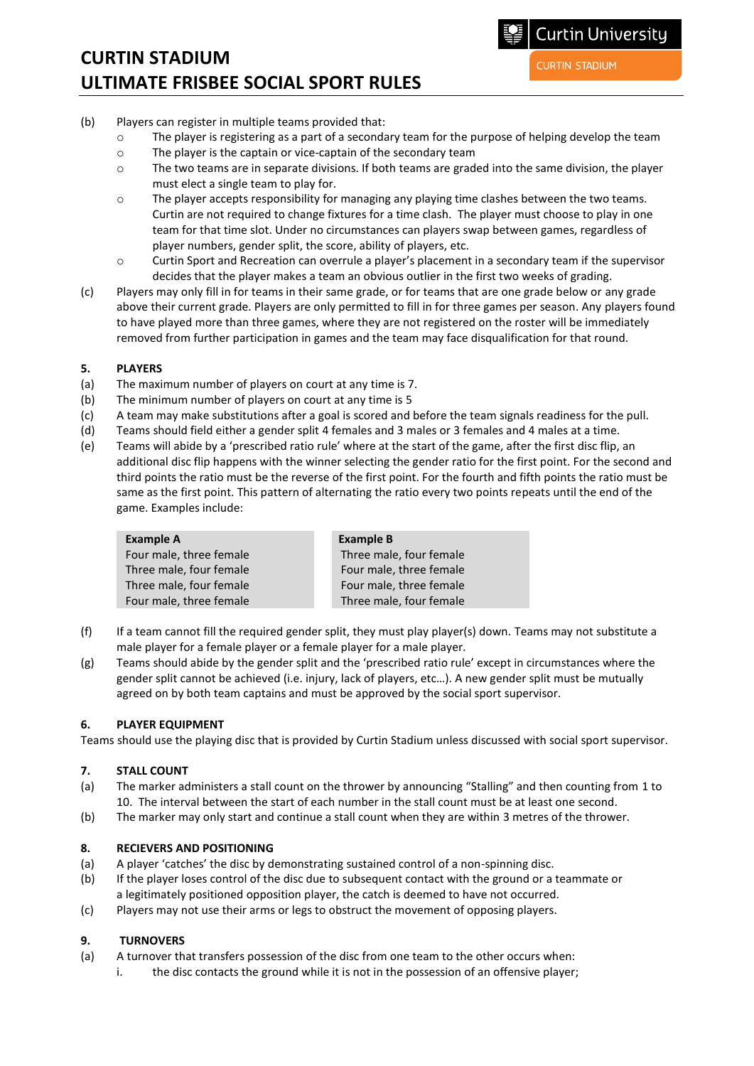# **CURTIN STADIUM ULTIMATE FRISBEE SOCIAL SPORT RULES**

**CURTIN STADIUM** 

- (b) Players can register in multiple teams provided that:
	- o The player is registering as a part of a secondary team for the purpose of helping develop the team
	- o The player is the captain or vice-captain of the secondary team
	- $\circ$  The two teams are in separate divisions. If both teams are graded into the same division, the player must elect a single team to play for.
	- o The player accepts responsibility for managing any playing time clashes between the two teams. Curtin are not required to change fixtures for a time clash. The player must choose to play in one team for that time slot. Under no circumstances can players swap between games, regardless of player numbers, gender split, the score, ability of players, etc.
	- o Curtin Sport and Recreation can overrule a player's placement in a secondary team if the supervisor decides that the player makes a team an obvious outlier in the first two weeks of grading.
- (c) Players may only fill in for teams in their same grade, or for teams that are one grade below or any grade above their current grade. Players are only permitted to fill in for three games per season. Any players found to have played more than three games, where they are not registered on the roster will be immediately removed from further participation in games and the team may face disqualification for that round.

### **5. PLAYERS**

- (a) The maximum number of players on court at any time is 7.
- (b) The minimum number of players on court at any time is 5
- (c) A team may make substitutions after a goal is scored and before the team signals readiness for the pull.
- (d) Teams should field either a gender split 4 females and 3 males or 3 females and 4 males at a time.
- (e) Teams will abide by a 'prescribed ratio rule' where at the start of the game, after the first disc flip, an additional disc flip happens with the winner selecting the gender ratio for the first point. For the second and third points the ratio must be the reverse of the first point. For the fourth and fifth points the ratio must be same as the first point. This pattern of alternating the ratio every two points repeats until the end of the game. Examples include:

| <b>Example A</b>        | <b>Example B</b>        |
|-------------------------|-------------------------|
| Four male, three female | Three male, four female |
| Three male, four female | Four male, three female |
| Three male, four female | Four male, three female |
| Four male, three female | Three male, four female |

- (f) If a team cannot fill the required gender split, they must play player(s) down. Teams may not substitute a male player for a female player or a female player for a male player.
- (g) Teams should abide by the gender split and the 'prescribed ratio rule' except in circumstances where the gender split cannot be achieved (i.e. injury, lack of players, etc…). A new gender split must be mutually agreed on by both team captains and must be approved by the social sport supervisor.

### **6. PLAYER EQUIPMENT**

Teams should use the playing disc that is provided by Curtin Stadium unless discussed with social sport supervisor.

### **7. STALL COUNT**

- (a) The marker administers a stall count on the thrower by announcing "Stalling" and then counting from 1 to 10. The interval between the start of each number in the stall count must be at least one second.
- (b) The marker may only start and continue a stall count when they are within 3 metres of the thrower.

### **8. RECIEVERS AND POSITIONING**

- (a) A player 'catches' the disc by demonstrating sustained control of a non-spinning disc.
- (b) If the player loses control of the disc due to subsequent contact with the ground or a teammate or a legitimately positioned opposition player, the catch is deemed to have not occurred.
- (c) Players may not use their arms or legs to obstruct the movement of opposing players.

### **9. TURNOVERS**

- (a) A turnover that transfers possession of the disc from one team to the other occurs when:
	- i. the disc contacts the ground while it is not in the possession of an offensive player;